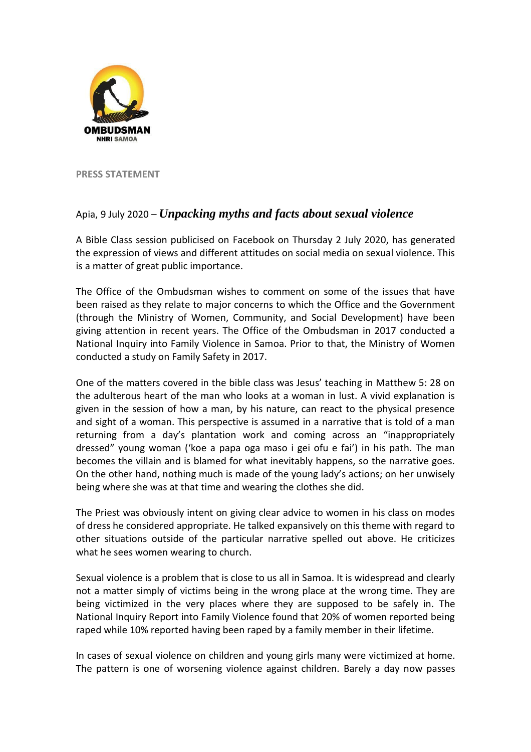

**PRESS STATEMENT**

## Apia, 9 July 2020 – *Unpacking myths and facts about sexual violence*

A Bible Class session publicised on Facebook on Thursday 2 July 2020, has generated the expression of views and different attitudes on social media on sexual violence. This is a matter of great public importance.

The Office of the Ombudsman wishes to comment on some of the issues that have been raised as they relate to major concerns to which the Office and the Government (through the Ministry of Women, Community, and Social Development) have been giving attention in recent years. The Office of the Ombudsman in 2017 conducted a National Inquiry into Family Violence in Samoa. Prior to that, the Ministry of Women conducted a study on Family Safety in 2017.

One of the matters covered in the bible class was Jesus' teaching in Matthew 5: 28 on the adulterous heart of the man who looks at a woman in lust. A vivid explanation is given in the session of how a man, by his nature, can react to the physical presence and sight of a woman. This perspective is assumed in a narrative that is told of a man returning from a day's plantation work and coming across an "inappropriately dressed" young woman ('koe a papa oga maso i gei ofu e fai') in his path. The man becomes the villain and is blamed for what inevitably happens, so the narrative goes. On the other hand, nothing much is made of the young lady's actions; on her unwisely being where she was at that time and wearing the clothes she did.

The Priest was obviously intent on giving clear advice to women in his class on modes of dress he considered appropriate. He talked expansively on this theme with regard to other situations outside of the particular narrative spelled out above. He criticizes what he sees women wearing to church.

Sexual violence is a problem that is close to us all in Samoa. It is widespread and clearly not a matter simply of victims being in the wrong place at the wrong time. They are being victimized in the very places where they are supposed to be safely in. The National Inquiry Report into Family Violence found that 20% of women reported being raped while 10% reported having been raped by a family member in their lifetime.

In cases of sexual violence on children and young girls many were victimized at home. The pattern is one of worsening violence against children. Barely a day now passes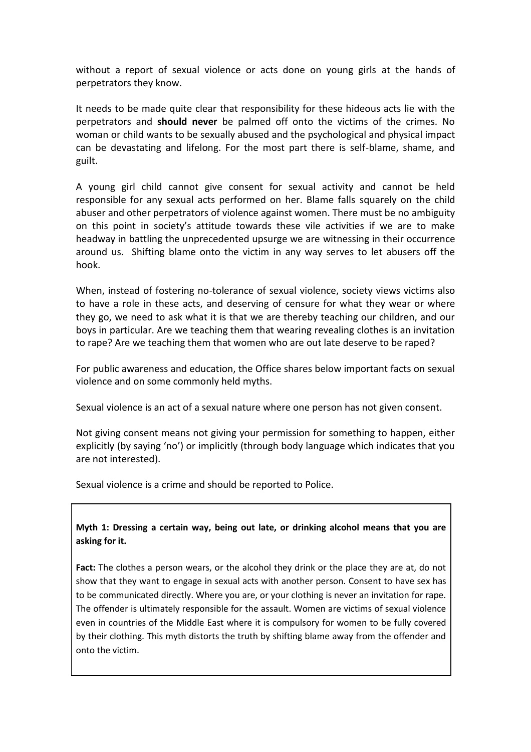without a report of sexual violence or acts done on young girls at the hands of perpetrators they know.

It needs to be made quite clear that responsibility for these hideous acts lie with the perpetrators and **should never** be palmed off onto the victims of the crimes. No woman or child wants to be sexually abused and the psychological and physical impact can be devastating and lifelong. For the most part there is self-blame, shame, and guilt.

A young girl child cannot give consent for sexual activity and cannot be held responsible for any sexual acts performed on her. Blame falls squarely on the child abuser and other perpetrators of violence against women. There must be no ambiguity on this point in society's attitude towards these vile activities if we are to make headway in battling the unprecedented upsurge we are witnessing in their occurrence around us. Shifting blame onto the victim in any way serves to let abusers off the hook.

When, instead of fostering no-tolerance of sexual violence, society views victims also to have a role in these acts, and deserving of censure for what they wear or where they go, we need to ask what it is that we are thereby teaching our children, and our boys in particular. Are we teaching them that wearing revealing clothes is an invitation to rape? Are we teaching them that women who are out late deserve to be raped?

For public awareness and education, the Office shares below important facts on sexual violence and on some commonly held myths.

Sexual violence is an act of a sexual nature where one person has not given consent.

Not giving consent means not giving your permission for something to happen, either explicitly (by saying 'no') or implicitly (through body language which indicates that you are not interested).

Sexual violence is a crime and should be reported to Police.

**Myth 1: Dressing a certain way, being out late, or drinking alcohol means that you are asking for it.**

**Fact:** The clothes a person wears, or the alcohol they drink or the place they are at, do not show that they want to engage in sexual acts with another person. Consent to have sex has to be communicated directly. Where you are, or your clothing is never an invitation for rape. The offender is ultimately responsible for the assault. Women are victims of sexual violence even in countries of the Middle East where it is compulsory for women to be fully covered by their clothing. This myth distorts the truth by shifting blame away from the offender and onto the victim.